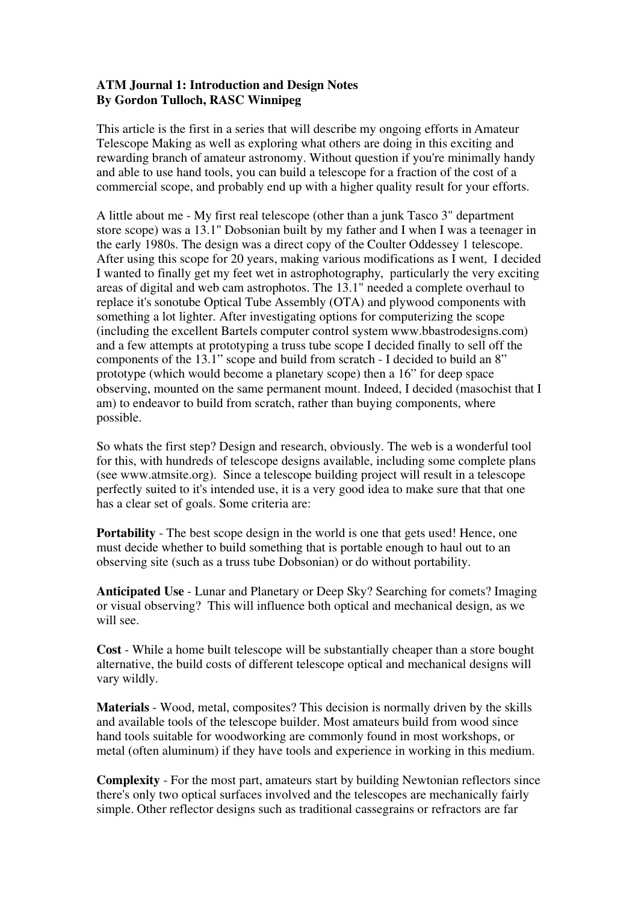## **ATM Journal 1: Introduction and Design Notes By Gordon Tulloch, RASC Winnipeg**

This article is the first in a series that will describe my ongoing efforts in Amateur Telescope Making as well as exploring what others are doing in this exciting and rewarding branch of amateur astronomy. Without question if you're minimally handy and able to use hand tools, you can build a telescope for a fraction of the cost of a commercial scope, and probably end up with a higher quality result for your efforts.

A little about me - My first real telescope (other than a junk Tasco 3" department store scope) was a 13.1" Dobsonian built by my father and I when I was a teenager in the early 1980s. The design was a direct copy of the Coulter Oddessey 1 telescope. After using this scope for 20 years, making various modifications as I went, I decided I wanted to finally get my feet wet in astrophotography, particularly the very exciting areas of digital and web cam astrophotos. The 13.1" needed a complete overhaul to replace it's sonotube Optical Tube Assembly (OTA) and plywood components with something a lot lighter. After investigating options for computerizing the scope (including the excellent Bartels computer control system www.bbastrodesigns.com) and a few attempts at prototyping a truss tube scope I decided finally to sell off the components of the 13.1" scope and build from scratch - I decided to build an 8" prototype (which would become a planetary scope) then a 16" for deep space observing, mounted on the same permanent mount. Indeed, I decided (masochist that I am) to endeavor to build from scratch, rather than buying components, where possible.

So whats the first step? Design and research, obviously. The web is a wonderful tool for this, with hundreds of telescope designs available, including some complete plans (see www.atmsite.org). Since a telescope building project will result in a telescope perfectly suited to it's intended use, it is a very good idea to make sure that that one has a clear set of goals. Some criteria are:

**Portability** - The best scope design in the world is one that gets used! Hence, one must decide whether to build something that is portable enough to haul out to an observing site (such as a truss tube Dobsonian) or do without portability.

**Anticipated Use** - Lunar and Planetary or Deep Sky? Searching for comets? Imaging or visual observing? This will influence both optical and mechanical design, as we will see.

**Cost** - While a home built telescope will be substantially cheaper than a store bought alternative, the build costs of different telescope optical and mechanical designs will vary wildly.

**Materials** - Wood, metal, composites? This decision is normally driven by the skills and available tools of the telescope builder. Most amateurs build from wood since hand tools suitable for woodworking are commonly found in most workshops, or metal (often aluminum) if they have tools and experience in working in this medium.

**Complexity** - For the most part, amateurs start by building Newtonian reflectors since there's only two optical surfaces involved and the telescopes are mechanically fairly simple. Other reflector designs such as traditional cassegrains or refractors are far